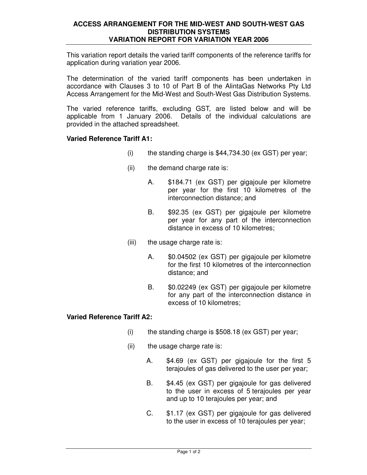## **ACCESS ARRANGEMENT FOR THE MID-WEST AND SOUTH-WEST GAS DISTRIBUTION SYSTEMS VARIATION REPORT FOR VARIATION YEAR 2006**

This variation report details the varied tariff components of the reference tariffs for application during variation year 2006.

The determination of the varied tariff components has been undertaken in accordance with Clauses 3 to 10 of Part B of the AlintaGas Networks Pty Ltd Access Arrangement for the Mid-West and South-West Gas Distribution Systems.

The varied reference tariffs, excluding GST, are listed below and will be applicable from 1 January 2006. Details of the individual calculations are provided in the attached spreadsheet.

## **Varied Reference Tariff A1:**

- $(i)$  the standing charge is \$44,734.30 (ex GST) per year;
- (ii) the demand charge rate is:
	- A. \$184.71 (ex GST) per gigajoule per kilometre per year for the first 10 kilometres of the interconnection distance; and
	- B. \$92.35 (ex GST) per gigajoule per kilometre per year for any part of the interconnection distance in excess of 10 kilometres;
- (iii) the usage charge rate is:
	- A. \$0.04502 (ex GST) per gigajoule per kilometre for the first 10 kilometres of the interconnection distance; and
	- B. \$0.02249 (ex GST) per gigajoule per kilometre for any part of the interconnection distance in excess of 10 kilometres;

## **Varied Reference Tariff A2:**

- $(i)$  the standing charge is \$508.18 (ex GST) per year;
- (ii) the usage charge rate is:
	- A. \$4.69 (ex GST) per gigajoule for the first 5 terajoules of gas delivered to the user per year;
	- B. \$4.45 (ex GST) per gigajoule for gas delivered to the user in excess of 5 terajoules per year and up to 10 terajoules per year; and
	- C. \$1.17 (ex GST) per gigajoule for gas delivered to the user in excess of 10 terajoules per year;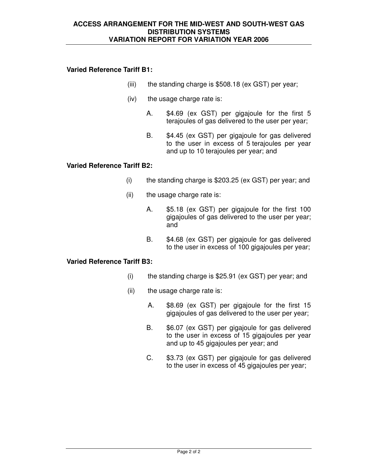## **Varied Reference Tariff B1:**

- (iii) the standing charge is \$508.18 (ex GST) per year;
- (iv) the usage charge rate is:
	- A. \$4.69 (ex GST) per gigajoule for the first 5 terajoules of gas delivered to the user per year;
	- B. \$4.45 (ex GST) per gigajoule for gas delivered to the user in excess of 5 terajoules per year and up to 10 terajoules per year; and

## **Varied Reference Tariff B2:**

- (i) the standing charge is \$203.25 (ex GST) per year; and
- (ii) the usage charge rate is:
	- A. \$5.18 (ex GST) per gigajoule for the first 100 gigajoules of gas delivered to the user per year; and
	- B. \$4.68 (ex GST) per gigajoule for gas delivered to the user in excess of 100 gigajoules per year;

### **Varied Reference Tariff B3:**

- (i) the standing charge is \$25.91 (ex GST) per year; and
- (ii) the usage charge rate is:
	- A. \$8.69 (ex GST) per gigajoule for the first 15 gigajoules of gas delivered to the user per year;
	- B. \$6.07 (ex GST) per gigajoule for gas delivered to the user in excess of 15 gigajoules per year and up to 45 gigajoules per year; and
	- C. \$3.73 (ex GST) per gigajoule for gas delivered to the user in excess of 45 gigajoules per year;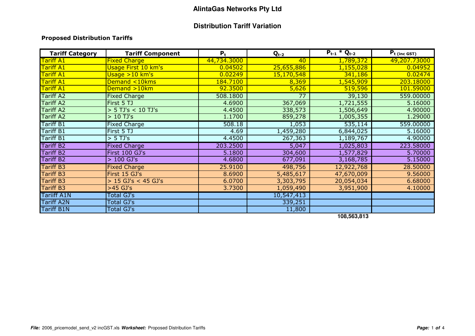## **Distribution Tariff Variation**

#### Proposed Distribution Tariffs

| <b>Tariff Category</b> | <b>Tariff Component</b> | $P_t$       | $Q_{t-2}$  | $P_{t-1} * Q_{t-2}$ | $P_t$ (inc GST) |
|------------------------|-------------------------|-------------|------------|---------------------|-----------------|
| <b>Tariff A1</b>       | <b>Fixed Charge</b>     | 44,734.3000 | 40         | 1,789,372           | 49,207.73000    |
| <b>Tariff A1</b>       | Usage First 10 km's     | 0.04502     | 25,655,886 | 1,155,028           | 0.04952         |
| Tariff A1              | Usage >10 km's          | 0.02249     | 15,170,548 | 341,186             | 0.02474         |
| Tariff A1              | Demand <10kms           | 184.7100    | 8,369      | 1,545,909           | 203.18000       |
| Tariff A1              | Demand >10km            | 92.3500     | 5,626      | 519,596             | 101.59000       |
| <b>Tariff A2</b>       | <b>Fixed Charge</b>     | 508.1800    | 77         | 39,130              | 559.00000       |
| <b>Tariff A2</b>       | First 5 TJ              | 4.6900      | 367,069    | 1,721,555           | 5.16000         |
| <b>Tariff A2</b>       | $>$ 5 TJ's < 10 TJ's    | 4.4500      | 338,573    | 1,506,649           | 4.90000         |
| <b>Tariff A2</b>       | $>10$ TJ's              | 1.1700      | 859,278    | 1,005,355           | 1.29000         |
| Tariff B1              | <b>Fixed Charge</b>     | 508.18      | 1,053      | 535,114             | 559.00000       |
| Tariff B1              | First 5 TJ              | 4.69        | 1,459,280  | 6,844,025           | 5.16000         |
| <b>Tariff B1</b>       | $> 5$ TJ's              | 4.4500      | 267,363    | 1,189,767           | 4.90000         |
| <b>Tariff B2</b>       | <b>Fixed Charge</b>     | 203.2500    | 5,047      | 1,025,803           | 223.58000       |
| <b>Tariff B2</b>       | First 100 GJ's          | 5.1800      | 304,600    | 1,577,829           | 5.70000         |
| <b>Tariff B2</b>       | $>100$ GJ's             | 4.6800      | 677,091    | 3,168,785           | 5.15000         |
| <b>Tariff B3</b>       | <b>Fixed Charge</b>     | 25.9100     | 498,756    | 12,922,768          | 28.50000        |
| Tariff B3              | First 15 GJ's           | 8.6900      | 5,485,617  | 47,670,009          | 9.56000         |
| <b>Tariff B3</b>       | $> 15$ GJ's < 45 GJ's   | 6.0700      | 3,303,795  | 20,054,034          | 6.68000         |
| <b>Tariff B3</b>       | $>45$ GJ's              | 3.7300      | 1,059,490  | 3,951,900           | 4.10000         |
| Tariiff A1N            | Total GJ's              |             | 10,547,413 |                     |                 |
| <b>Tariff A2N</b>      | Total GJ's              |             | 339,251    |                     |                 |
| <b>Tariff B1N</b>      | Total GJ's              |             | 11,800     |                     |                 |

**108,563,813**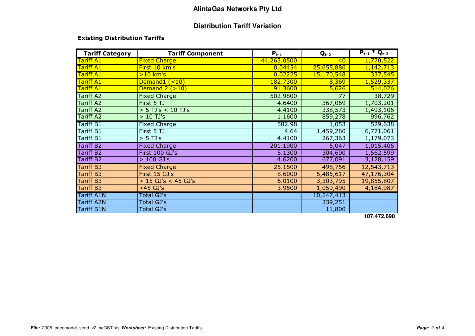## **Distribution Tariff Variation**

#### Existing Distribution Tariffs

| <b>Tariff Category</b> | <b>Tariff Component</b> | $P_{t-1}$   | $Q_{t-2}$  | $P_{t-1} * Q_{t-2}$ |
|------------------------|-------------------------|-------------|------------|---------------------|
| <b>Tariff A1</b>       | <b>Fixed Charge</b>     | 44,263.0500 | 40         | 1,770,522           |
| <b>Tariff A1</b>       | First 10 km's           | 0.04454     | 25,655,886 | 1,142,713           |
| <b>Tariff A1</b>       | $>10$ km's              | 0.02225     | 15,170,548 | 337,545             |
| Tariff A1              | Demand1 (<10)           | 182.7300    | 8,369      | 1,529,337           |
| <b>Tariff A1</b>       | Demand $2$ $(>10)$      | 91.3600     | 5,626      | 514,026             |
| <b>Tariff A2</b>       | <b>Fixed Charge</b>     | 502.9800    | 77         | 38,729              |
| <b>Tariff A2</b>       | First 5 TJ              | 4.6400      | 367,069    | 1,703,201           |
| <b>Tariff A2</b>       | $>$ 5 TJ's < 10 TJ's    | 4.4100      | 338,573    | 1,493,106           |
| <b>Tariff A2</b>       | $>10$ TJ's              | 1.1600      | 859,278    | 996,762             |
| <b>Tariff B1</b>       | <b>Fixed Charge</b>     | 502.98      | 1,053      | 529,638             |
| <b>Tariff B1</b>       | First 5 TJ              | 4.64        | 1,459,280  | 6,771,061           |
| <b>Tariff B1</b>       | $> 5$ TJ's              | 4.4100      | 267,363    | 1,179,073           |
| <b>Tariff B2</b>       | <b>Fixed Charge</b>     | 201.1900    | 5,047      | 1,015,406           |
| <b>Tariff B2</b>       | First 100 GJ's          | 5.1300      | 304,600    | 1,562,599           |
| <b>Tariff B2</b>       | $>100$ GJ's             | 4.6200      | 677,091    | 3,128,159           |
| <b>Tariff B3</b>       | <b>Fixed Charge</b>     | 25.1500     | 498,756    | 12,543,713          |
| <b>Tariff B3</b>       | First 15 GJ's           | 8.6000      | 5,485,617  | 47,176,304          |
| <b>Tariff B3</b>       | $> 15$ GJ's < 45 GJ's   | 6.0100      | 3,303,795  | 19,855,807          |
| <b>Tariff B3</b>       | $>45$ GJ's              | 3.9500      | 1,059,490  | 4,184,987           |
| <b>Tariff A1N</b>      | Total GJ's              |             | 10,547,413 |                     |
| <b>Tariff A2N</b>      | <b>Total GJ's</b>       |             | 339,251    |                     |
| <b>Tariff B1N</b>      | Total GJ's              |             | 11,800     |                     |

**107,472,690**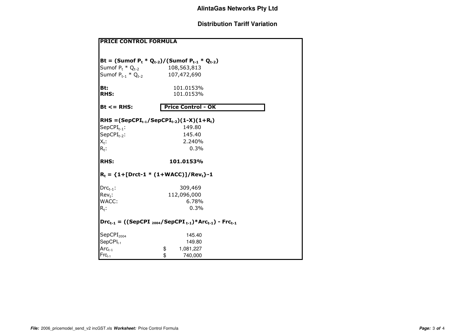# **Distribution Tariff Variation**

| <b>PRICE CONTROL FORMULA</b> |                                                                           |  |  |  |
|------------------------------|---------------------------------------------------------------------------|--|--|--|
| Sumof $P_t * Q_{t-2}$        | Bt = (Sumof $P_t * Q_{t-2}$ )/(Sumof $P_{t-1} * Q_{t-2}$ )<br>108,563,813 |  |  |  |
|                              | Sumof $P_{t-1} * Q_{t-2}$ 107,472,690                                     |  |  |  |
| Bt:<br><b>RHS:</b>           | 101.0153%<br>101.0153%                                                    |  |  |  |
|                              |                                                                           |  |  |  |
| $Bt \leq RHS$                | <b>Price Control - OK</b>                                                 |  |  |  |
|                              | RHS = $(SepCPI_{t-1}/SepCPI_{t-2})(1-X)(1+R_t)$                           |  |  |  |
| $SepCPI_{t-1}$ :             | 149.80                                                                    |  |  |  |
| $SepCPI_{t-2}$ :             | 145.40                                                                    |  |  |  |
| $X_t$ :                      | 2.240%                                                                    |  |  |  |
| $R_t$ .                      | 0.3%                                                                      |  |  |  |
| <b>RHS:</b>                  | 101.0153%                                                                 |  |  |  |
|                              | $R_t = \{1 + [Drct-1 * (1+WACC)]/Rev_t\} - 1$                             |  |  |  |
| $Drc_{t-1}$ :                | 309,469                                                                   |  |  |  |
| $Rev_t$ :                    | 112,096,000                                                               |  |  |  |
| WACC:                        | 6.78%                                                                     |  |  |  |
| $R_t$ :                      | 0.3%                                                                      |  |  |  |
|                              | $Drc_{t-1} = ((SepCPI_{2004}/SepCPI_{t-1}) * Arc_{t-1}) - Frc_{t-1}$      |  |  |  |
| SepCPI <sub>2004</sub>       | 145.40                                                                    |  |  |  |
| $SepCPI_{t-1}$               | 149.80                                                                    |  |  |  |
| $Arc_{t-1}$                  | \$<br>1,081,227                                                           |  |  |  |
| $Frc_{t-1}$                  | \$<br>740,000                                                             |  |  |  |